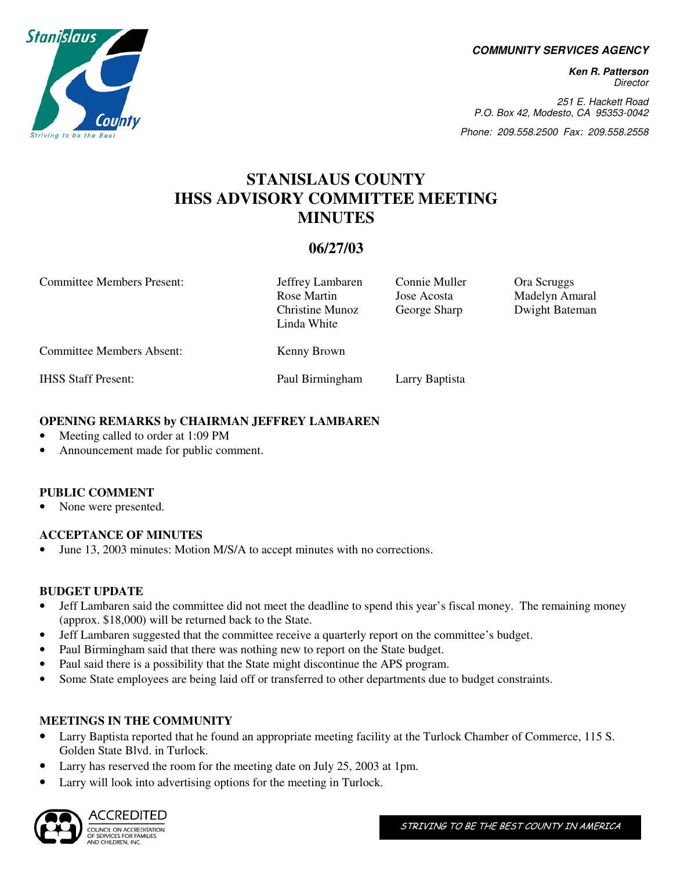**COMMUNITY SERVICES AGENCY** 

**Ken R. Patterson**  Director

251 E. Hackett Road P.O. Box 42, Modesto, CA 95353-0042

Phone: 209.558.2500 Fax: 209.558.2558

# **STANISLAUS COUNTY IHSS ADVISORY COMMITTEE MEETING MINUTES**

# **06/27/03**

| <b>Committee Members Present:</b> | Jeffrey Lambaren<br>Rose Martin<br>Christine Munoz<br>Linda White | Connie Muller<br>Jose Acosta<br>George Sharp | Ora Scruggs<br>Madelyn Amaral<br>Dwight Bateman |
|-----------------------------------|-------------------------------------------------------------------|----------------------------------------------|-------------------------------------------------|
| <b>Committee Members Absent:</b>  | Kenny Brown                                                       |                                              |                                                 |
| <b>IHSS Staff Present:</b>        | Paul Birmingham                                                   | Larry Baptista                               |                                                 |

#### **OPENING REMARKS by CHAIRMAN JEFFREY LAMBAREN**

- Meeting called to order at 1:09 PM
- Announcement made for public comment.

# **PUBLIC COMMENT**

None were presented.

# **ACCEPTANCE OF MINUTES**

• June 13, 2003 minutes: Motion M/S/A to accept minutes with no corrections.

#### **BUDGET UPDATE**

- Jeff Lambaren said the committee did not meet the deadline to spend this year's fiscal money. The remaining money (approx. \$18,000) will be returned back to the State.
- Jeff Lambaren suggested that the committee receive a quarterly report on the committee's budget.
- Paul Birmingham said that there was nothing new to report on the State budget.
- Paul said there is a possibility that the State might discontinue the APS program.
- Some State employees are being laid off or transferred to other departments due to budget constraints.

# **MEETINGS IN THE COMMUNITY**

- Larry Baptista reported that he found an appropriate meeting facility at the Turlock Chamber of Commerce, 115 S. Golden State Blvd. in Turlock.
- Larry has reserved the room for the meeting date on July 25, 2003 at 1pm.
- Larry will look into advertising options for the meeting in Turlock.



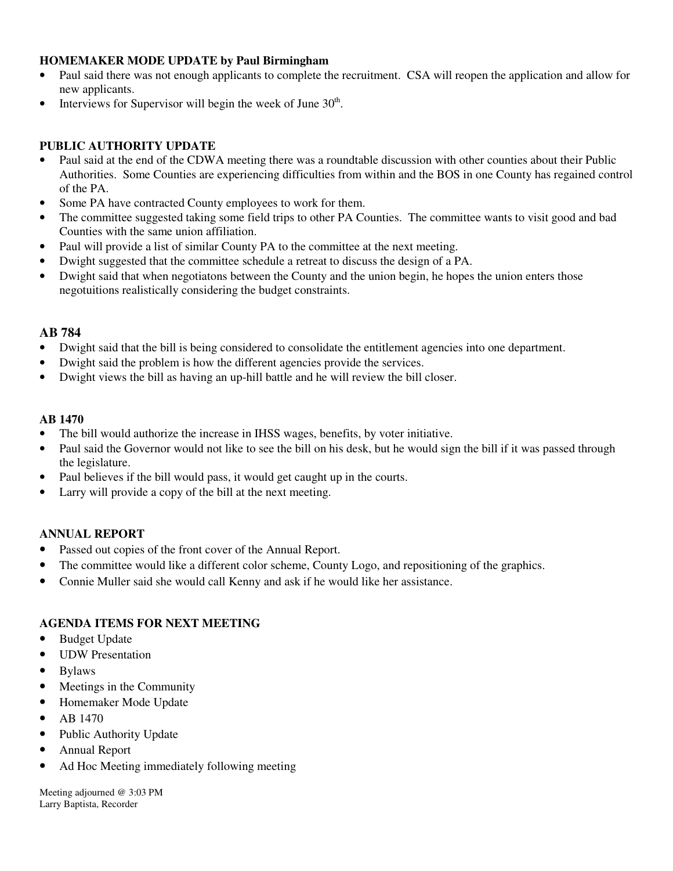# **HOMEMAKER MODE UPDATE by Paul Birmingham**

- Paul said there was not enough applicants to complete the recruitment. CSA will reopen the application and allow for new applicants.
- Interviews for Supervisor will begin the week of June  $30<sup>th</sup>$ .

### **PUBLIC AUTHORITY UPDATE**

- Paul said at the end of the CDWA meeting there was a roundtable discussion with other counties about their Public Authorities. Some Counties are experiencing difficulties from within and the BOS in one County has regained control of the PA.
- Some PA have contracted County employees to work for them.
- The committee suggested taking some field trips to other PA Counties. The committee wants to visit good and bad Counties with the same union affiliation.
- Paul will provide a list of similar County PA to the committee at the next meeting.
- Dwight suggested that the committee schedule a retreat to discuss the design of a PA.
- Dwight said that when negotiatons between the County and the union begin, he hopes the union enters those negotuitions realistically considering the budget constraints.

#### **AB 784**

- Dwight said that the bill is being considered to consolidate the entitlement agencies into one department.
- Dwight said the problem is how the different agencies provide the services.
- Dwight views the bill as having an up-hill battle and he will review the bill closer.

#### **AB 1470**

- The bill would authorize the increase in IHSS wages, benefits, by voter initiative.
- Paul said the Governor would not like to see the bill on his desk, but he would sign the bill if it was passed through the legislature.
- Paul believes if the bill would pass, it would get caught up in the courts.
- Larry will provide a copy of the bill at the next meeting.

#### **ANNUAL REPORT**

- Passed out copies of the front cover of the Annual Report.
- The committee would like a different color scheme, County Logo, and repositioning of the graphics.
- Connie Muller said she would call Kenny and ask if he would like her assistance.

# **AGENDA ITEMS FOR NEXT MEETING**

- Budget Update
- UDW Presentation
- Bylaws
- Meetings in the Community
- Homemaker Mode Update
- AB 1470
- Public Authority Update
- Annual Report
- Ad Hoc Meeting immediately following meeting

Meeting adjourned @ 3:03 PM Larry Baptista, Recorder